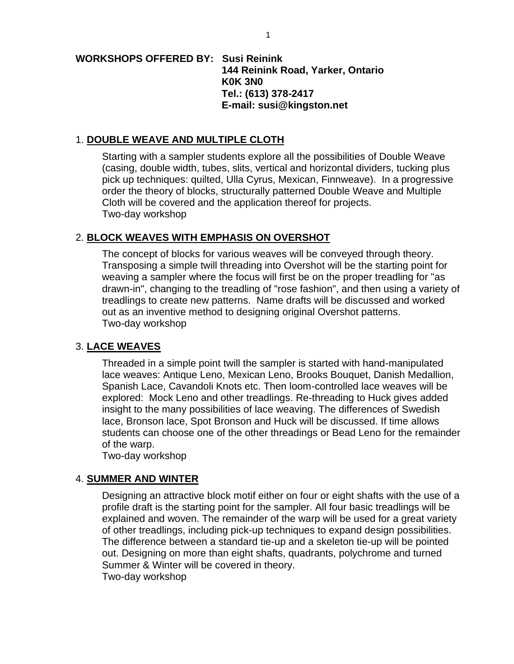## **WORKSHOPS OFFERED BY: Susi Reinink 144 Reinink Road, Yarker, Ontario K0K 3N0 Tel.: (613) 378-2417 E-mail: susi@kingston.net**

## 1. **DOUBLE WEAVE AND MULTIPLE CLOTH**

Starting with a sampler students explore all the possibilities of Double Weave (casing, double width, tubes, slits, vertical and horizontal dividers, tucking plus pick up techniques: quilted, Ulla Cyrus, Mexican, Finnweave). In a progressive order the theory of blocks, structurally patterned Double Weave and Multiple Cloth will be covered and the application thereof for projects. Two-day workshop

# 2. **BLOCK WEAVES WITH EMPHASIS ON OVERSHOT**

 The concept of blocks for various weaves will be conveyed through theory. Transposing a simple twill threading into Overshot will be the starting point for weaving a sampler where the focus will first be on the proper treadling for "as drawn-in", changing to the treadling of "rose fashion", and then using a variety of treadlings to create new patterns. Name drafts will be discussed and worked out as an inventive method to designing original Overshot patterns. Two-day workshop

## 3. **LACE WEAVES**

 Threaded in a simple point twill the sampler is started with hand-manipulated lace weaves: Antique Leno, Mexican Leno, Brooks Bouquet, Danish Medallion, Spanish Lace, Cavandoli Knots etc. Then loom-controlled lace weaves will be explored: Mock Leno and other treadlings. Re-threading to Huck gives added insight to the many possibilities of lace weaving. The differences of Swedish lace, Bronson lace, Spot Bronson and Huck will be discussed. If time allows students can choose one of the other threadings or Bead Leno for the remainder of the warp.

Two-day workshop

# 4. **SUMMER AND WINTER**

 Designing an attractive block motif either on four or eight shafts with the use of a profile draft is the starting point for the sampler. All four basic treadlings will be explained and woven. The remainder of the warp will be used for a great variety of other treadlings, including pick-up techniques to expand design possibilities. The difference between a standard tie-up and a skeleton tie-up will be pointed out. Designing on more than eight shafts, quadrants, polychrome and turned Summer & Winter will be covered in theory. Two-day workshop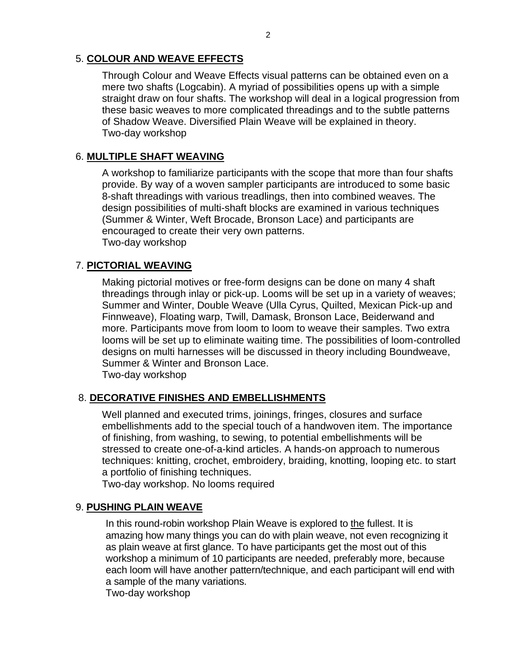# 5. **COLOUR AND WEAVE EFFECTS**

Through Colour and Weave Effects visual patterns can be obtained even on a mere two shafts (Logcabin). A myriad of possibilities opens up with a simple straight draw on four shafts. The workshop will deal in a logical progression from these basic weaves to more complicated threadings and to the subtle patterns of Shadow Weave. Diversified Plain Weave will be explained in theory. Two-day workshop

## 6. **MULTIPLE SHAFT WEAVING**

A workshop to familiarize participants with the scope that more than four shafts provide. By way of a woven sampler participants are introduced to some basic 8-shaft threadings with various treadlings, then into combined weaves. The design possibilities of multi-shaft blocks are examined in various techniques (Summer & Winter, Weft Brocade, Bronson Lace) and participants are encouraged to create their very own patterns. Two-day workshop

## 7. **PICTORIAL WEAVING**

 Making pictorial motives or free-form designs can be done on many 4 shaft threadings through inlay or pick-up. Looms will be set up in a variety of weaves; Summer and Winter, Double Weave (Ulla Cyrus, Quilted, Mexican Pick-up and Finnweave), Floating warp, Twill, Damask, Bronson Lace, Beiderwand and more. Participants move from loom to loom to weave their samples. Two extra looms will be set up to eliminate waiting time. The possibilities of loom-controlled designs on multi harnesses will be discussed in theory including Boundweave, Summer & Winter and Bronson Lace.

Two-day workshop

## 8. **DECORATIVE FINISHES AND EMBELLISHMENTS**

Well planned and executed trims, joinings, fringes, closures and surface embellishments add to the special touch of a handwoven item. The importance of finishing, from washing, to sewing, to potential embellishments will be stressed to create one-of-a-kind articles. A hands-on approach to numerous techniques: knitting, crochet, embroidery, braiding, knotting, looping etc. to start a portfolio of finishing techniques.

Two-day workshop. No looms required

## 9. **PUSHING PLAIN WEAVE**

In this round-robin workshop Plain Weave is explored to the fullest. It is amazing how many things you can do with plain weave, not even recognizing it as plain weave at first glance. To have participants get the most out of this workshop a minimum of 10 participants are needed, preferably more, because each loom will have another pattern/technique, and each participant will end with a sample of the many variations.

Two-day workshop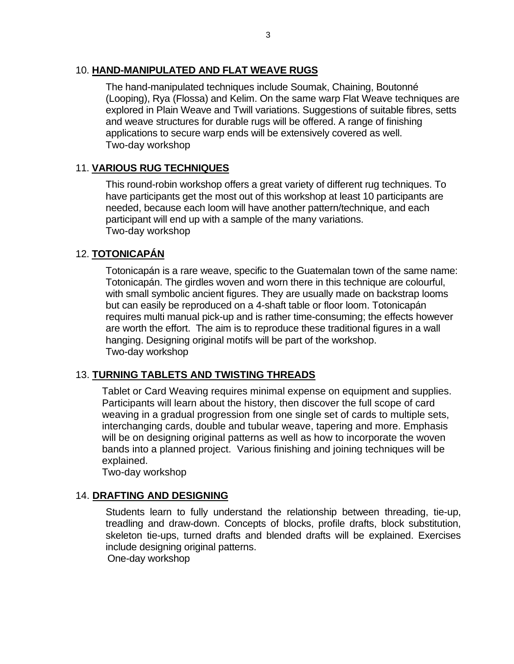#### 10. **HAND-MANIPULATED AND FLAT WEAVE RUGS**

The hand-manipulated techniques include Soumak, Chaining, Boutonné (Looping), Rya (Flossa) and Kelim. On the same warp Flat Weave techniques are explored in Plain Weave and Twill variations. Suggestions of suitable fibres, setts and weave structures for durable rugs will be offered. A range of finishing applications to secure warp ends will be extensively covered as well. Two-day workshop

## 11. **VARIOUS RUG TECHNIQUES**

This round-robin workshop offers a great variety of different rug techniques. To have participants get the most out of this workshop at least 10 participants are needed, because each loom will have another pattern/technique, and each participant will end up with a sample of the many variations. Two-day workshop

## 12. **TOTONICAPÁN**

Totonicapán is a rare weave, specific to the Guatemalan town of the same name: Totonicapán. The girdles woven and worn there in this technique are colourful, with small symbolic ancient figures. They are usually made on backstrap looms but can easily be reproduced on a 4-shaft table or floor loom. Totonicapán requires multi manual pick-up and is rather time-consuming; the effects however are worth the effort. The aim is to reproduce these traditional figures in a wall hanging. Designing original motifs will be part of the workshop. Two-day workshop

# 13. **TURNING TABLETS AND TWISTING THREADS**

Tablet or Card Weaving requires minimal expense on equipment and supplies. Participants will learn about the history, then discover the full scope of card weaving in a gradual progression from one single set of cards to multiple sets, interchanging cards, double and tubular weave, tapering and more. Emphasis will be on designing original patterns as well as how to incorporate the woven bands into a planned project. Various finishing and joining techniques will be explained.

Two-day workshop

## 14. **DRAFTING AND DESIGNING**

Students learn to fully understand the relationship between threading, tie-up, treadling and draw-down. Concepts of blocks, profile drafts, block substitution, skeleton tie-ups, turned drafts and blended drafts will be explained. Exercises include designing original patterns.

One-day workshop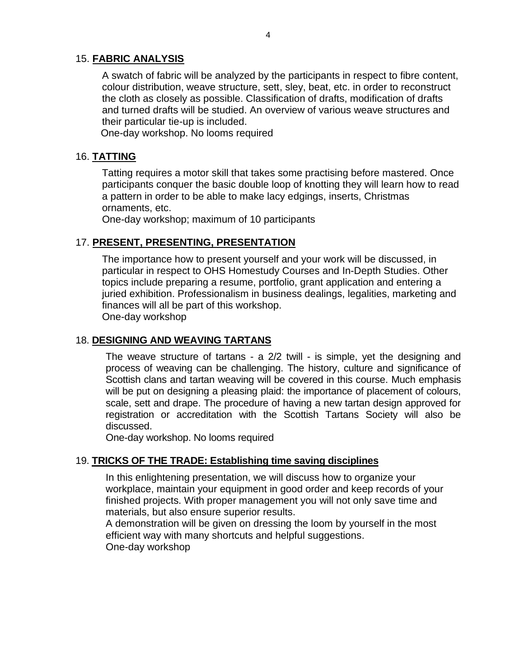### 15. **FABRIC ANALYSIS**

A swatch of fabric will be analyzed by the participants in respect to fibre content, colour distribution, weave structure, sett, sley, beat, etc. in order to reconstruct the cloth as closely as possible. Classification of drafts, modification of drafts and turned drafts will be studied. An overview of various weave structures and their particular tie-up is included.

One-day workshop. No looms required

#### 16. **TATTING**

 Tatting requires a motor skill that takes some practising before mastered. Once participants conquer the basic double loop of knotting they will learn how to read a pattern in order to be able to make lacy edgings, inserts, Christmas ornaments, etc.

One-day workshop; maximum of 10 participants

#### 17. **PRESENT, PRESENTING, PRESENTATION**

The importance how to present yourself and your work will be discussed, in particular in respect to OHS Homestudy Courses and In-Depth Studies. Other topics include preparing a resume, portfolio, grant application and entering a juried exhibition. Professionalism in business dealings, legalities, marketing and finances will all be part of this workshop.

One-day workshop

#### 18. **DESIGNING AND WEAVING TARTANS**

The weave structure of tartans - a 2/2 twill - is simple, yet the designing and process of weaving can be challenging. The history, culture and significance of Scottish clans and tartan weaving will be covered in this course. Much emphasis will be put on designing a pleasing plaid: the importance of placement of colours, scale, sett and drape. The procedure of having a new tartan design approved for registration or accreditation with the Scottish Tartans Society will also be discussed.

One-day workshop. No looms required

#### 19. **TRICKS OF THE TRADE: Establishing time saving disciplines**

In this enlightening presentation, we will discuss how to organize your workplace, maintain your equipment in good order and keep records of your finished projects. With proper management you will not only save time and materials, but also ensure superior results.

A demonstration will be given on dressing the loom by yourself in the most efficient way with many shortcuts and helpful suggestions. One-day workshop